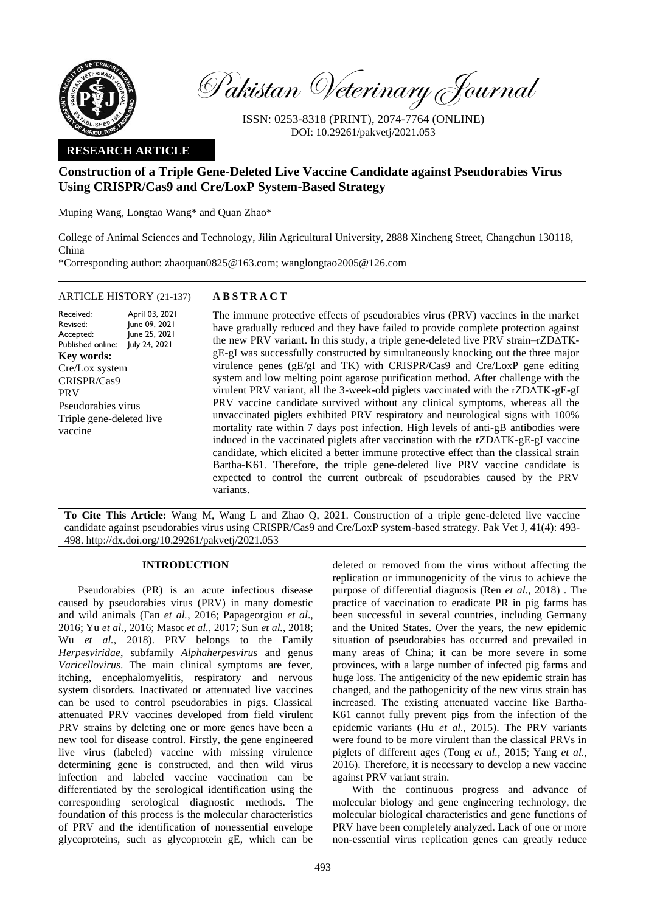

Pakistan Veterinary Journal

ISSN: 0253-8318 (PRINT), 2074-7764 (ONLINE) DOI: 10.29261/pakvetj/2021.053

# **RESEARCH ARTICLE**

# **Construction of a Triple Gene-Deleted Live Vaccine Candidate against Pseudorabies Virus Using CRISPR/Cas9 and Cre/LoxP System-Based Strategy**

Muping Wang, Longtao Wang\* and Quan Zhao\*

College of Animal Sciences and Technology, Jilin Agricultural University, 2888 Xincheng Street, Changchun 130118, China

\*Corresponding author: [zhaoquan0825@163.com;](mailto:zhaoquan0825@163.com) [wanglongtao2005@126.com](mailto:wanglongtao2005@126.com)

## ARTICLE HISTORY (21-137) **A B S T R A C T**

Received: Revised: Accepted: Published online: April 03, 2021 June 09, 2021 June 25, 2021 July 24, 2021 **Key words:**  Cre/Lox system CRISPR/Cas9 PRV Pseudorabies virus Triple gene-deleted live vaccine

The immune protective effects of pseudorabies virus (PRV) vaccines in the market have gradually reduced and they have failed to provide complete protection against the new PRV variant. In this study, a triple gene-deleted live PRV strain–rZDΔTKgE-gI was successfully constructed by simultaneously knocking out the three major virulence genes (gE/gI and TK) with CRISPR/Cas9 and Cre/LoxP gene editing system and low melting point agarose purification method. After challenge with the virulent PRV variant, all the 3-week-old piglets vaccinated with the rZDΔTK-gE-gI PRV vaccine candidate survived without any clinical symptoms, whereas all the unvaccinated piglets exhibited PRV respiratory and neurological signs with 100% mortality rate within 7 days post infection. High levels of anti-gB antibodies were induced in the vaccinated piglets after vaccination with the rZDΔTK-gE-gI vaccine candidate, which elicited a better immune protective effect than the classical strain Bartha-K61. Therefore, the triple gene-deleted live PRV vaccine candidate is expected to control the current outbreak of pseudorabies caused by the PRV variants.

**To Cite This Article:** Wang M, Wang L and Zhao Q, 2021. Construction of a triple gene-deleted live vaccine candidate against pseudorabies virus using CRISPR/Cas9 and Cre/LoxP system-based strategy. Pak Vet J, 41(4): 493- 498[. http://dx.doi.org/10.29261/pakvetj/2021.053](http://pvj.com.pk/pdf-files/41_4/493-498.pdf)

## **INTRODUCTION**

Pseudorabies (PR) is an acute infectious disease caused by pseudorabies virus (PRV) in many domestic and wild animals (Fan *et al.*, 2016; Papageorgiou *et al*., 2016; Yu *et al.*, 2016; Masot *et al.*, 2017; Sun *et al.*, 2018; Wu *et al.*, 2018). PRV belongs to the Family *Herpesviridae*, subfamily *Alphaherpesvirus* and genus *Varicellovirus*. The main clinical symptoms are fever, itching, encephalomyelitis, respiratory and nervous system disorders. Inactivated or attenuated live vaccines can be used to control pseudorabies in pigs. Classical attenuated PRV vaccines developed from field virulent PRV strains by deleting one or more genes have been a new tool for disease control. Firstly, the gene engineered live virus (labeled) vaccine with missing virulence determining gene is constructed, and then wild virus infection and labeled vaccine vaccination can be differentiated by the serological identification using the corresponding serological diagnostic methods. The foundation of this process is the molecular characteristics of PRV and the identification of nonessential envelope glycoproteins, such as glycoprotein gE, which can be

deleted or removed from the virus without affecting the replication or immunogenicity of the virus to achieve the purpose of differential diagnosis (Ren *et al*., 2018) . The practice of vaccination to eradicate PR in pig farms has been successful in several countries, including Germany and the United States. Over the years, the new epidemic situation of pseudorabies has occurred and prevailed in many areas of China; it can be more severe in some provinces, with a large number of infected pig farms and huge loss. The antigenicity of the new epidemic strain has changed, and the pathogenicity of the new virus strain has increased. The existing attenuated vaccine like Bartha-K61 cannot fully prevent pigs from the infection of the epidemic variants (Hu *et al.*, 2015). The PRV variants were found to be more virulent than the classical PRVs in piglets of different ages (Tong *et al.*, 2015; Yang *et al.*, 2016). Therefore, it is necessary to develop a new vaccine against PRV variant strain.

With the continuous progress and advance of molecular biology and gene engineering technology, the molecular biological characteristics and gene functions of PRV have been completely analyzed. Lack of one or more non-essential virus replication genes can greatly reduce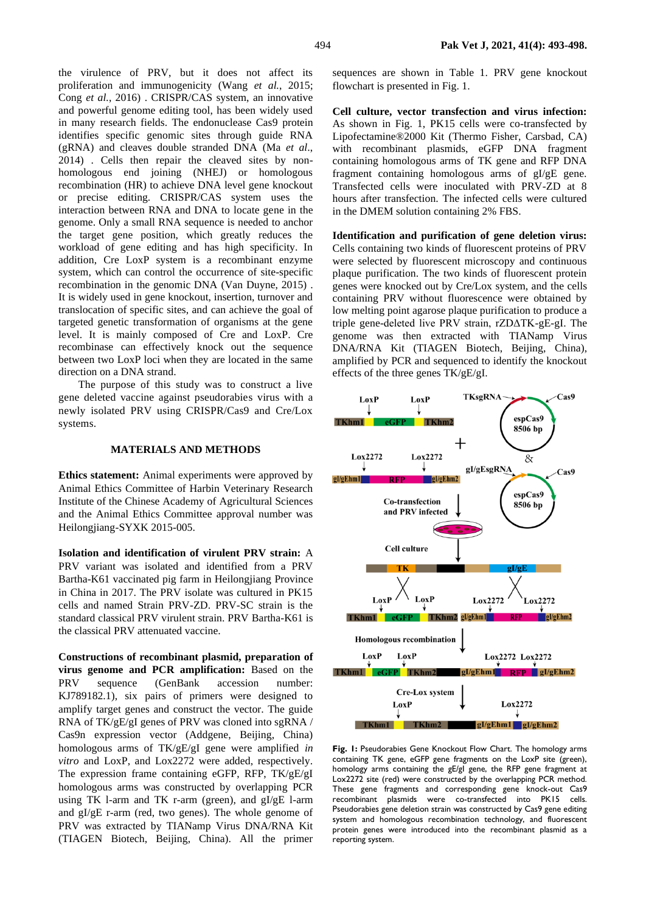the virulence of PRV, but it does not affect its proliferation and immunogenicity (Wang *et al.*, 2015; Cong *et al.*, 2016) . CRISPR/CAS system, an innovative and powerful genome editing tool, has been widely used in many research fields. The endonuclease Cas9 protein identifies specific genomic sites through guide RNA (gRNA) and cleaves double stranded DNA (Ma *et al*., 2014) . Cells then repair the cleaved sites by nonhomologous end joining (NHEJ) or homologous recombination (HR) to achieve DNA level gene knockout or precise editing. CRISPR/CAS system uses the interaction between RNA and DNA to locate gene in the genome. Only a small RNA sequence is needed to anchor the target gene position, which greatly reduces the workload of gene editing and has high specificity. In addition, Cre LoxP system is a recombinant enzyme system, which can control the occurrence of site-specific recombination in the genomic DNA (Van Duyne, 2015) . It is widely used in gene knockout, insertion, turnover and translocation of specific sites, and can achieve the goal of targeted genetic transformation of organisms at the gene level. It is mainly composed of Cre and LoxP. Cre recombinase can effectively knock out the sequence between two LoxP loci when they are located in the same

The purpose of this study was to construct a live gene deleted vaccine against pseudorabies virus with a newly isolated PRV using CRISPR/Cas9 and Cre/Lox systems.

direction on a DNA strand.

#### **MATERIALS AND METHODS**

**Ethics statement:** Animal experiments were approved by Animal Ethics Committee of Harbin Veterinary Research Institute of the Chinese Academy of Agricultural Sciences and the Animal Ethics Committee approval number was Heilongjiang-SYXK 2015-005.

**Isolation and identification of virulent PRV strain:** A PRV variant was isolated and identified from a PRV Bartha-K61 vaccinated pig farm in Heilongjiang Province in China in 2017. The PRV isolate was cultured in PK15 cells and named Strain PRV-ZD. PRV-SC strain is the standard classical PRV virulent strain. PRV Bartha-K61 is the classical PRV attenuated vaccine.

**Constructions of recombinant plasmid, preparation of virus genome and PCR amplification:** Based on the PRV sequence (GenBank accession number: KJ789182.1), six pairs of primers were designed to amplify target genes and construct the vector. The guide RNA of TK/gE/gI genes of PRV was cloned into sgRNA / Cas9n expression vector (Addgene, Beijing, China) homologous arms of TK/gE/gI gene were amplified *in vitro* and LoxP, and Lox2272 were added, respectively. The expression frame containing eGFP, RFP, TK/gE/gI homologous arms was constructed by overlapping PCR using TK l-arm and TK r-arm (green), and gI/gE l-arm and gI/gE r-arm (red, two genes). The whole genome of PRV was extracted by TIANamp Virus DNA/RNA Kit (TIAGEN Biotech, Beijing, China). All the primer

sequences are shown in Table 1. PRV gene knockout flowchart is presented in Fig. 1.

**Cell culture, vector transfection and virus infection:**  As shown in Fig. 1, PK15 cells were co-transfected by Lipofectamine®2000 Kit (Thermo Fisher, Carsbad, CA) with recombinant plasmids, eGFP DNA fragment containing homologous arms of TK gene and RFP DNA fragment containing homologous arms of gI/gE gene. Transfected cells were inoculated with PRV-ZD at 8 hours after transfection. The infected cells were cultured in the DMEM solution containing 2% FBS.

**Identification and purification of gene deletion virus:**  Cells containing two kinds of fluorescent proteins of PRV were selected by fluorescent microscopy and continuous plaque purification. The two kinds of fluorescent protein genes were knocked out by Cre/Lox system, and the cells containing PRV without fluorescence were obtained by low melting point agarose plaque purification to produce a triple gene-deleted live PRV strain, rZDΔTK-gE-gI. The genome was then extracted with TIANamp Virus DNA/RNA Kit (TIAGEN Biotech, Beijing, China), amplified by PCR and sequenced to identify the knockout effects of the three genes TK/gE/gI.



**Fig. 1:** Pseudorabies Gene Knockout Flow Chart. The homology arms containing TK gene, eGFP gene fragments on the LoxP site (green), homology arms containing the gE/gI gene, the RFP gene fragment at Lox2272 site (red) were constructed by the overlapping PCR method. These gene fragments and corresponding gene knock-out Cas9 recombinant plasmids were co-transfected into PK15 cells. Pseudorabies gene deletion strain was constructed by Cas9 gene editing system and homologous recombination technology, and fluorescent protein genes were introduced into the recombinant plasmid as a reporting system.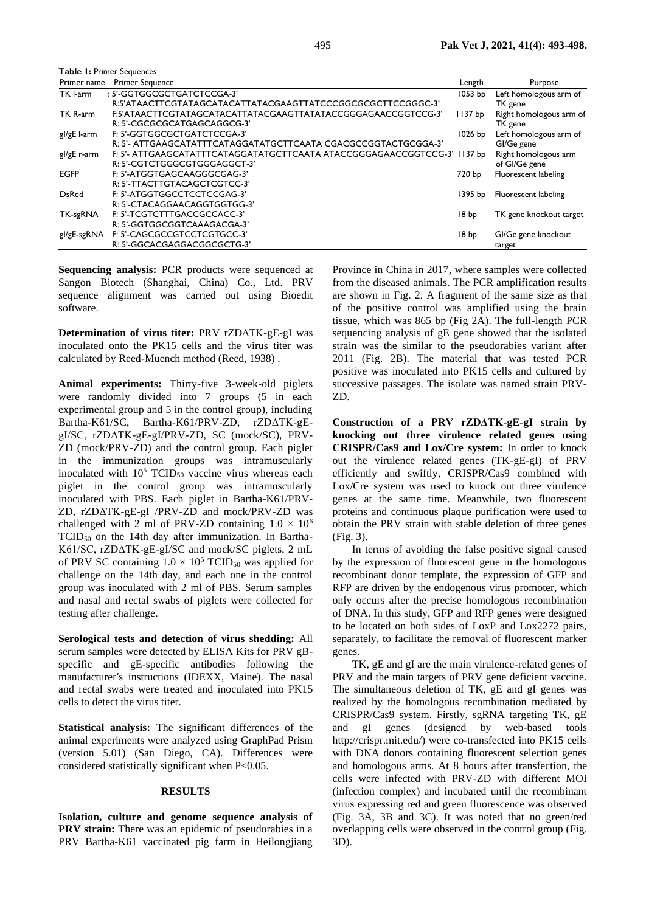**Table 1:** Primer Sequences

| Primer name  | <b>Primer Sequence</b>                                                   | Length             | Purpose                 |
|--------------|--------------------------------------------------------------------------|--------------------|-------------------------|
| TK I-arm     | : 5'-GGTGGCGCTGATCTCCGA-3'                                               | 1053 bp            | Left homologous arm of  |
|              | R:5'ATAACTTCGTATAGCATACATTATACGAAGTTATCCCGGCGCGCTTCCGGGC-3'              |                    | TK gene                 |
| TK R-arm     | F:5'ATAACTTCGTATAGCATACATTATACGAAGTTATATACCGGGAGAACCGGTCCG-3'            | 1137 <sub>bp</sub> | Right homologous arm of |
|              | R: 5'-CGCGCGCATGAGCAGGCG-3'                                              |                    | TK gene                 |
| gl/gE I-arm  | F: 5'-GGTGGCGCTGATCTCCGA-3'                                              | $1026$ bp          | Left homologous arm of  |
|              | R: 5'- ATTGAAGCATATTTCATAGGATATGCTTCAATA CGACGCCGGTACTGCGGA-3'           |                    | GI/Ge gene              |
| gl/gE r-arm  | F: 5'- ATTGAAGCATATTTCATAGGATATGCTTCAATA ATACCGGGAGAACCGGTCCG-3' 1137 bp |                    | Right homologous arm    |
|              | R: 5'-CGTCTGGGCGTGGGAGGCT-3'                                             |                    | of GI/Ge gene           |
| <b>EGFP</b>  | F: 5'-ATGGTGAGCAAGGGCGAG-3'                                              | 720 bp             | Fluorescent labeling    |
|              | R: 5'-TTACTTGTACAGCTCGTCC-3'                                             |                    |                         |
| <b>DsRed</b> | F: 5'-ATGGTGGCCTCCTCCGAG-3'                                              | 1395 bp            | Fluorescent labeling    |
|              | R: 5'-CTACAGGAACAGGTGGTGG-3'                                             |                    |                         |
| TK-sgRNA     | F: 5'-TCGTCTTTGACCGCCACC-3'                                              | 18 <sub>bp</sub>   | TK gene knockout target |
|              | R: 5'-GGTGGCGGTCAAAGACGA-3'                                              |                    |                         |
| gl/gE-sgRNA  | F: 5'-CAGCGCCGTCCTCGTGCC-3'                                              | 18 <sub>bp</sub>   | GI/Ge gene knockout     |
|              | R: 5'-GGCACGAGGACGGCGCTG-3'                                              |                    | target                  |

**Sequencing analysis:** PCR products were sequenced at Sangon Biotech (Shanghai, China) Co., Ltd. PRV sequence alignment was carried out using Bioedit software.

**Determination of virus titer:** PRV rZDΔTK-gE-gI was inoculated onto the PK15 cells and the virus titer was calculated by Reed-Muench method (Reed, 1938) .

**Animal experiments:** Thirty-five 3-week-old piglets were randomly divided into 7 groups (5 in each experimental group and 5 in the control group), including Bartha-K61/SC, Bartha-K61/PRV-ZD, rZDΔTK-gEgI/SC, rZDΔTK-gE-gI/PRV-ZD, SC (mock/SC), PRV-ZD (mock/PRV-ZD) and the control group. Each piglet in the immunization groups was intramuscularly inoculated with  $10^5$  TCID<sub>50</sub> vaccine virus whereas each piglet in the control group was intramuscularly inoculated with PBS. Each piglet in Bartha-K61/PRV-ZD, rZDΔTK-gE-gI /PRV-ZD and mock/PRV-ZD was challenged with 2 ml of PRV-ZD containing  $1.0 \times 10^6$  $TCID<sub>50</sub>$  on the 14th day after immunization. In Bartha-K61/SC, rZDΔTK-gE-gI/SC and mock/SC piglets, 2 mL of PRV SC containing  $1.0 \times 10^5$  TCID<sub>50</sub> was applied for challenge on the 14th day, and each one in the control group was inoculated with 2 ml of PBS. Serum samples and nasal and rectal swabs of piglets were collected for testing after challenge.

**Serological tests and detection of virus shedding:** All serum samples were detected by ELISA Kits for PRV gBspecific and gE-specific antibodies following the manufacturer′s instructions (IDEXX, Maine). The nasal and rectal swabs were treated and inoculated into PK15 cells to detect the virus titer.

**Statistical analysis:** The significant differences of the animal experiments were analyzed using GraphPad Prism (version 5.01) (San Diego, CA). Differences were considered statistically significant when P<0.05.

### **RESULTS**

**Isolation, culture and genome sequence analysis of PRV strain:** There was an epidemic of pseudorabies in a PRV Bartha-K61 vaccinated pig farm in Heilongjiang

Province in China in 2017, where samples were collected from the diseased animals. The PCR amplification results are shown in Fig. 2. A fragment of the same size as that of the positive control was amplified using the brain tissue, which was 865 bp (Fig 2A). The full-length PCR sequencing analysis of gE gene showed that the isolated strain was the similar to the pseudorabies variant after 2011 (Fig. 2B). The material that was tested PCR positive was inoculated into PK15 cells and cultured by successive passages. The isolate was named strain PRV-ZD.

**Construction of a PRV rZDΔTK-gE-gI strain by knocking out three virulence related genes using CRISPR/Cas9 and Lox/Cre system:** In order to knock out the virulence related genes (TK-gE-gI) of PRV efficiently and swiftly, CRISPR/Cas9 combined with Lox/Cre system was used to knock out three virulence genes at the same time. Meanwhile, two fluorescent proteins and continuous plaque purification were used to obtain the PRV strain with stable deletion of three genes (Fig. 3).

In terms of avoiding the false positive signal caused by the expression of fluorescent gene in the homologous recombinant donor template, the expression of GFP and RFP are driven by the endogenous virus promoter, which only occurs after the precise homologous recombination of DNA. In this study, GFP and RFP genes were designed to be located on both sides of LoxP and Lox2272 pairs, separately, to facilitate the removal of fluorescent marker genes.

TK, gE and gI are the main virulence-related genes of PRV and the main targets of PRV gene deficient vaccine. The simultaneous deletion of TK, gE and gI genes was realized by the homologous recombination mediated by CRISPR/Cas9 system. Firstly, sgRNA targeting TK, gE and gI genes (designed by web-based tools http://crispr.mit.edu/) were co-transfected into PK15 cells with DNA donors containing fluorescent selection genes and homologous arms. At 8 hours after transfection, the cells were infected with PRV-ZD with different MOI (infection complex) and incubated until the recombinant virus expressing red and green fluorescence was observed (Fig. 3A, 3B and 3C). It was noted that no green/red overlapping cells were observed in the control group (Fig. 3D).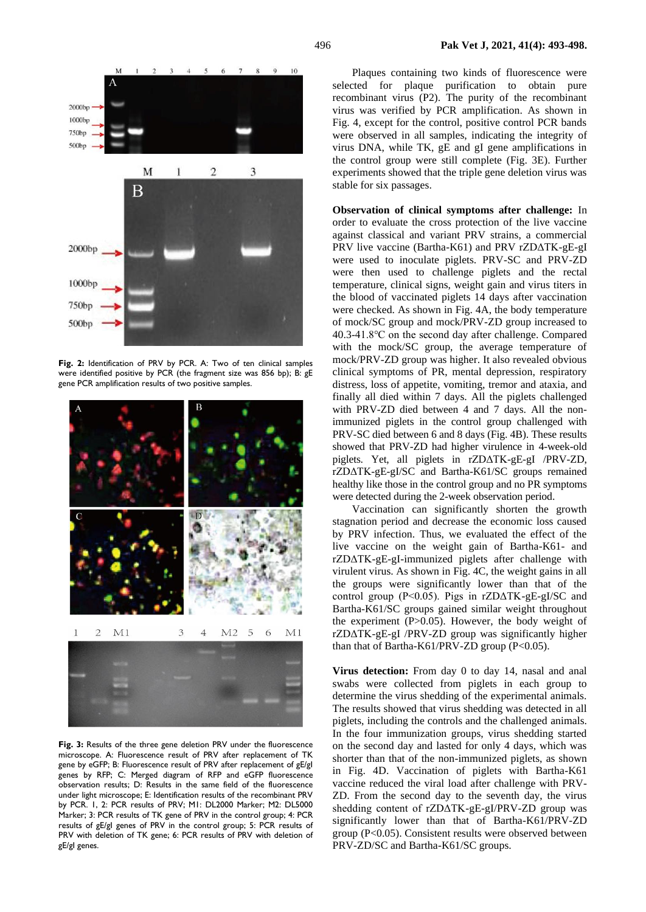

**Fig. 2:** Identification of PRV by PCR. A: Two of ten clinical samples were identified positive by PCR (the fragment size was 856 bp); B: gE gene PCR amplification results of two positive samples.



**Fig. 3:** Results of the three gene deletion PRV under the fluorescence microscope. A: Fluorescence result of PRV after replacement of TK gene by eGFP; B: Fluorescence result of PRV after replacement of gE/gI genes by RFP; C: Merged diagram of RFP and eGFP fluorescence observation results; D: Results in the same field of the fluorescence under light microscope; E: Identification results of the recombinant PRV by PCR. 1, 2: PCR results of PRV; M1: DL2000 Marker; M2: DL5000 Marker; 3: PCR results of TK gene of PRV in the control group; 4: PCR results of gE/gI genes of PRV in the control group; 5: PCR results of PRV with deletion of TK gene; 6: PCR results of PRV with deletion of gE/gI genes.

Plaques containing two kinds of fluorescence were selected for plaque purification to obtain pure recombinant virus (P2). The purity of the recombinant virus was verified by PCR amplification. As shown in Fig. 4, except for the control, positive control PCR bands were observed in all samples, indicating the integrity of virus DNA, while TK, gE and gI gene amplifications in the control group were still complete (Fig. 3E). Further experiments showed that the triple gene deletion virus was stable for six passages.

**Observation of clinical symptoms after challenge:** In order to evaluate the cross protection of the live vaccine against classical and variant PRV strains, a commercial PRV live vaccine (Bartha-K61) and PRV rZDΔTK-gE-gI were used to inoculate piglets. PRV-SC and PRV-ZD were then used to challenge piglets and the rectal temperature, clinical signs, weight gain and virus titers in the blood of vaccinated piglets 14 days after vaccination were checked. As shown in Fig. 4A, the body temperature of mock/SC group and mock/PRV-ZD group increased to 40.3-41.8℃ on the second day after challenge. Compared with the mock/SC group, the average temperature of mock/PRV-ZD group was higher. It also revealed obvious clinical symptoms of PR, mental depression, respiratory distress, loss of appetite, vomiting, tremor and ataxia, and finally all died within 7 days. All the piglets challenged with PRV-ZD died between 4 and 7 days. All the nonimmunized piglets in the control group challenged with PRV-SC died between 6 and 8 days (Fig. 4B). These results showed that PRV-ZD had higher virulence in 4-week-old piglets. Yet, all piglets in rZDΔTK-gE-gI /PRV-ZD, rZDΔTK-gE-gI/SC and Bartha-K61/SC groups remained healthy like those in the control group and no PR symptoms were detected during the 2-week observation period.

Vaccination can significantly shorten the growth stagnation period and decrease the economic loss caused by PRV infection. Thus, we evaluated the effect of the live vaccine on the weight gain of Bartha-K61- and rZDΔTK-gE-gI-immunized piglets after challenge with virulent virus. As shown in Fig. 4C, the weight gains in all the groups were significantly lower than that of the control group (P<0.05). Pigs in rZDΔTK-gE-gI/SC and Bartha-K61/SC groups gained similar weight throughout the experiment (P>0.05). However, the body weight of rZDΔTK-gE-gI /PRV-ZD group was significantly higher than that of Bartha-K61/PRV-ZD group (P<0.05).

**Virus detection:** From day 0 to day 14, nasal and anal swabs were collected from piglets in each group to determine the virus shedding of the experimental animals. The results showed that virus shedding was detected in all piglets, including the controls and the challenged animals. In the four immunization groups, virus shedding started on the second day and lasted for only 4 days, which was shorter than that of the non-immunized piglets, as shown in Fig. 4D. Vaccination of piglets with Bartha-K61 vaccine reduced the viral load after challenge with PRV-ZD. From the second day to the seventh day, the virus shedding content of rZDΔTK-gE-gI/PRV-ZD group was significantly lower than that of Bartha-K61/PRV-ZD group (P<0.05). Consistent results were observed between PRV-ZD/SC and Bartha-K61/SC groups.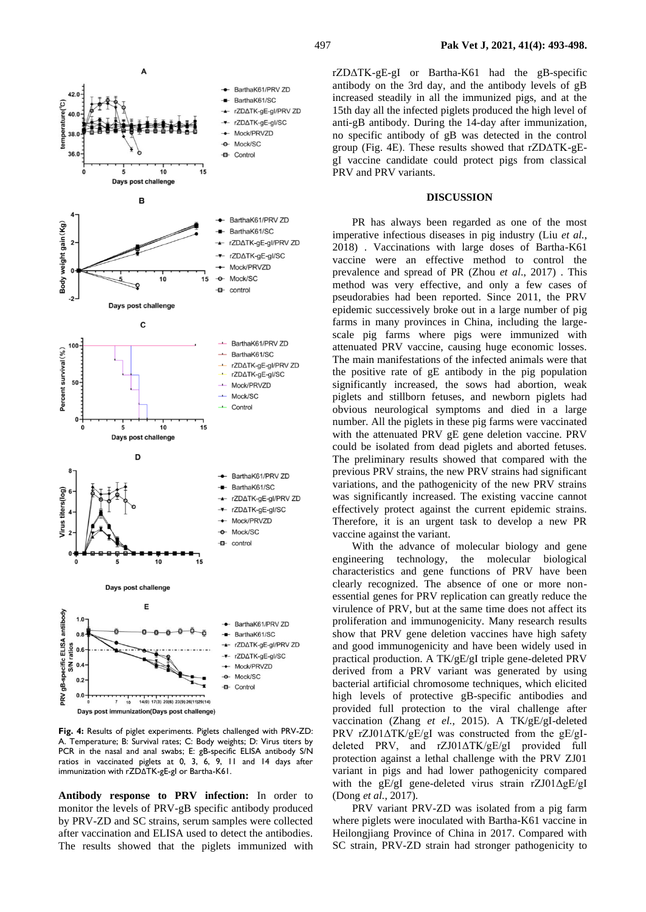

**Fig. 4:** Results of piglet experiments. Piglets challenged with PRV-ZD: A. Temperature; B: Survival rates; C: Body weights; D: Virus titers by PCR in the nasal and anal swabs; E: gB-specific ELISA antibody S/N ratios in vaccinated piglets at 0, 3, 6, 9, 11 and 14 days after immunization with rZDΔTK-gE-gI or Bartha-K61.

**Antibody response to PRV infection:** In order to monitor the levels of PRV-gB specific antibody produced by PRV-ZD and SC strains, serum samples were collected after vaccination and ELISA used to detect the antibodies. The results showed that the piglets immunized with

rZDΔTK-gE-gI or Bartha-K61 had the gB-specific antibody on the 3rd day, and the antibody levels of gB increased steadily in all the immunized pigs, and at the 15th day all the infected piglets produced the high level of anti-gB antibody. During the 14-day after immunization, no specific antibody of gB was detected in the control group (Fig. 4E). These results showed that rZDΔTK-gEgI vaccine candidate could protect pigs from classical PRV and PRV variants.

### **DISCUSSION**

PR has always been regarded as one of the most imperative infectious diseases in pig industry (Liu *et al.*, 2018) . Vaccinations with large doses of Bartha-K61 vaccine were an effective method to control the prevalence and spread of PR (Zhou *et al*., 2017) . This method was very effective, and only a few cases of pseudorabies had been reported. Since 2011, the PRV epidemic successively broke out in a large number of pig farms in many provinces in China, including the largescale pig farms where pigs were immunized with attenuated PRV vaccine, causing huge economic losses. The main manifestations of the infected animals were that the positive rate of gE antibody in the pig population significantly increased, the sows had abortion, weak piglets and stillborn fetuses, and newborn piglets had obvious neurological symptoms and died in a large number. All the piglets in these pig farms were vaccinated with the attenuated PRV gE gene deletion vaccine. PRV could be isolated from dead piglets and aborted fetuses. The preliminary results showed that compared with the previous PRV strains, the new PRV strains had significant variations, and the pathogenicity of the new PRV strains was significantly increased. The existing vaccine cannot effectively protect against the current epidemic strains. Therefore, it is an urgent task to develop a new PR vaccine against the variant.

With the advance of molecular biology and gene engineering technology, the molecular biological characteristics and gene functions of PRV have been clearly recognized. The absence of one or more nonessential genes for PRV replication can greatly reduce the virulence of PRV, but at the same time does not affect its proliferation and immunogenicity. Many research results show that PRV gene deletion vaccines have high safety and good immunogenicity and have been widely used in practical production. A TK/gE/gI triple gene-deleted PRV derived from a PRV variant was generated by using bacterial artificial chromosome techniques, which elicited high levels of protective gB-specific antibodies and provided full protection to the viral challenge after vaccination (Zhang *et el.*, 2015). A TK/gE/gI-deleted PRV rZJ01ΔTK/gE/gI was constructed from the gE/gIdeleted PRV, and rZJ01ΔTK/gE/gI provided full protection against a lethal challenge with the PRV ZJ01 variant in pigs and had lower pathogenicity compared with the gE/gI gene-deleted virus strain rZJ01ΔgE/gI (Dong *et al.*, 2017).

PRV variant PRV-ZD was isolated from a pig farm where piglets were inoculated with Bartha-K61 vaccine in Heilongjiang Province of China in 2017. Compared with SC strain, PRV-ZD strain had stronger pathogenicity to